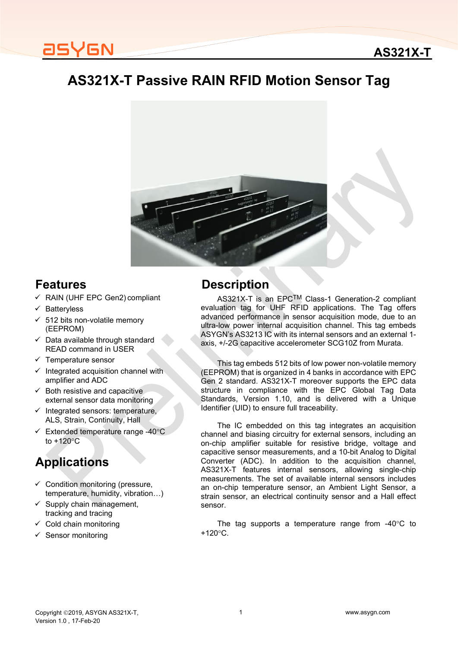### **AS321X-T**

# **AS321X-T Passive RAIN RFID Motion Sensor Tag**



### **Features**

- $\checkmark$  RAIN (UHF EPC Gen2) compliant
- $\checkmark$  Battervless
- $\times$  512 bits non-volatile memory (EEPROM)
- $\checkmark$  Data available through standard READ command in USER
- Temperature sensor
- Integrated acquisition channel with amplifier and ADC
- $\checkmark$  Both resistive and capacitive external sensor data monitoring
- $\checkmark$  Integrated sensors: temperature, ALS, Strain, Continuity, Hall
- Extended temperature range -40°C to +120°C

# **Applications**

- $\checkmark$  Condition monitoring (pressure, temperature, humidity, vibration…)
- $\checkmark$  Supply chain management, tracking and tracing
- Cold chain monitoring
- $\checkmark$  Sensor monitoring

### **Description**

AS321X-T is an EPCTM Class-1 Generation-2 compliant evaluation tag for UHF RFID applications. The Tag offers advanced performance in sensor acquisition mode, due to an ultra-low power internal acquisition channel. This tag embeds ASYGN's AS3213 IC with its internal sensors and an external 1 axis, +/-2G capacitive accelerometer SCG10Z from Murata.

This tag embeds 512 bits of low power non-volatile memory (EEPROM) that is organized in 4 banks in accordance with EPC Gen 2 standard. AS321X-T moreover supports the EPC data structure in compliance with the EPC Global Tag Data Standards, Version 1.10, and is delivered with a Unique Identifier (UID) to ensure full traceability.

The IC embedded on this tag integrates an acquisition channel and biasing circuitry for external sensors, including an on-chip amplifier suitable for resistive bridge, voltage and capacitive sensor measurements, and a 10-bit Analog to Digital Converter (ADC). In addition to the acquisition channel, AS321X-T features internal sensors, allowing single-chip measurements. The set of available internal sensors includes an on-chip temperature sensor, an Ambient Light Sensor, a strain sensor, an electrical continuity sensor and a Hall effect sensor.

The tag supports a temperature range from -40°C to +120°C.